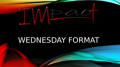

# WEDNESDAY FORMAT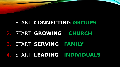# 1. START **CONNECTING GROUPS**

# 2. START **GROWING CHURCH**

# 3. START **SERVING FAMILY**

# 4. START **LEADING INDIVIDUALS**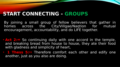# **START CONNECTING - GROUPS**

By joining a small group of fellow believers that gather in homes across the City/Villgae/Naqtion for mutual encouragement, accountability, and do LIFE together.

- **Act 2:<sup>46</sup>** So continuing daily with one accord in the temple, and breaking bread from house to house, they ate their food with gladness and simplicity of heart,
- **1 Thess 5:11** Therefore comfort each other and edify one another, just as you also are doing.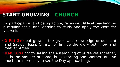## **START GROWING - CHURCH**

By participating and being active, receiving Biblical teaching on a regular basis, and learning to study and apply the Word for yourself.

- **2 Pet 3:<sup>18</sup>** but grow in the grace and knowledge of our Lord and Saviour Jesus Christ. To Him be the glory both now and forever. Amen.
- **Heb 10:<sup>25</sup>** not forsaking the assembling of ourselves together, as is the manner of some, but exhorting one another, and so much the more as you see the Day approaching.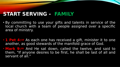### **START SERVING - FAMILY**

- By committing to use your gifts and talents in service of the local church with a team of people assigned over a specific area of ministry.
- **1 Pet 4:<sup>10</sup>** As each one has received a gift, minister it to one another, as good stewards of the manifold grace of God.
- **Mark 9:<sup>35</sup>** And He sat down, called the twelve, and said to them, "If anyone desires to be first, he shall be last of all and servant of all."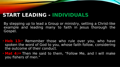### **START LEADING - INDIVIDUALS**

By stepping up to lead a Group or ministry, setting a Christ-like example and leading many to faith in Jesus thorough the Gospel.

- **Heb 13:7** Remember those who rule over you, who have spoken the word of God to you, whose faith follow, considering the outcome of their conduct.
- **Mat 4:19** Then He said to them, "Follow Me, and I will make you fishers of men."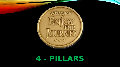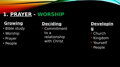# **1. PRAYER - WORSHIP**

#### **Growing**

- Bible study
- Worship
- Prayer
- People

## **Deciding**

 Commitment to a relationship with Christ

#### **Developin**

- **g**
- **Church**
- Kingdom
- Yourself
- People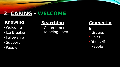# **2. CARING - WELCOME**

### **Knowing**

- Welcome
- Ice Breaker
- Fellowship
- Support
- People

### **Searching**

 Commitment to being open

#### **Connectin**

**g**

- Groups
- Lives
- **Yourself**
- **People**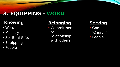# **3. EQUIPPING - WORD**

### **Knowing**

- Word
- Ministry
- Spiritual Gifts
- Equipping
- People

#### **Belonging**

 Commitment to relationship with others

#### **Serving**

- God
- 'Church'
- **People**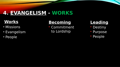# **4. EVANGELISM - WORKS**

#### **Works**

- Missions
- Evangelism
- People

#### **Becoming**

 Commitment to Lordship

#### **Leading**

- **Destiny**
- Purpose
- People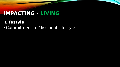# **IMPACTING - LIVING**

### **Lifestyle**

• Commitment to Missional Lifestyle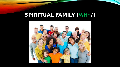# **SPIRITUAL FAMILY** [WHY?]

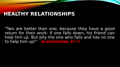#### **HEALTHY RELATIONSHIPS**

"Two are better than one, because they have a good return for their work: If one falls down, his friend can help him up. But pity the one who falls and has no one to help him up!" - **Ecclesiastes 4:9-10**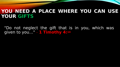#### **YOU NEED A PLACE WHERE YOU CAN USE YOUR GIFTS**

"Do not neglect the gift that is in you, which was given to you…" - **1 Timothy 4:<sup>14</sup>**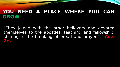#### **YOU NEED A PLACE WHERE YOU CAN GROW**

"They joined with the other believers and devoted themselves to the apostles' teaching and fellowship, sharing in the breaking of bread and prayer." - **Acts 2:<sup>42</sup>**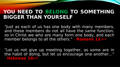## **YOU NEED TO BELONG TO SOMETHING BIGGER THAN YOURSELF**

"Just as each of us has one body with many members, and these members do not all have the same function, so in Christ we who are many form one body, and each member belongs to all the others." - **Romans 12:4-5**

"Let us not give up meeting together, as some are in the habit of doing, but let us encourage one another…" - **Hebrews 10:<sup>25</sup>**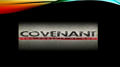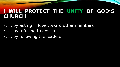#### **I WILL PROTECT THE UNITY OF GOD'S CHURCH.**

- . . . by acting in love toward other members
- . . . by refusing to gossip
- . . . by following the leaders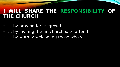#### **I WILL SHARE THE RESPONSIBILITY OF THE CHURCH**

- . . . by praying for its growth
- . . . by inviting the un-churched to attend
- . . . by warmly welcoming those who visit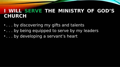#### **I WILL SERVE THE MINISTRY OF GOD'S CHURCH**

- . . . by discovering my gifts and talents
- . . . by being equipped to serve by my leaders
- . . . by developing a servant's heart